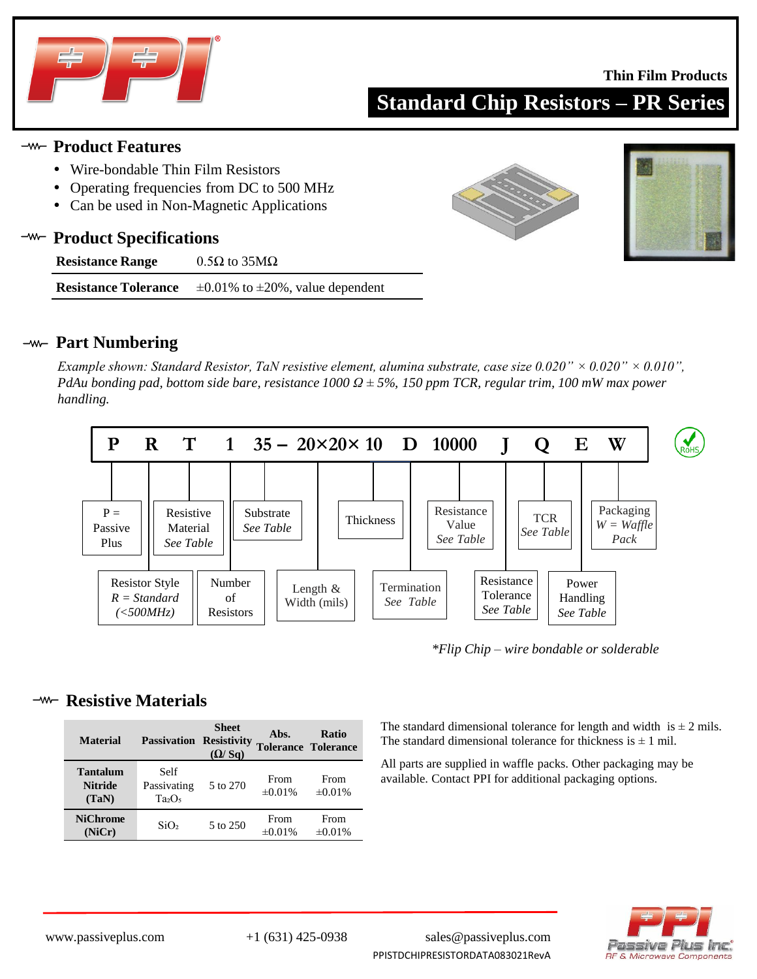

### **Thin Film Products**

**Standard Chip Resistors – PR Series**

## **Product Features**

- Wire-bondable Thin Film Resistors
- Operating frequencies from DC to 500 MHz
- Can be used in Non-Magnetic Applications

### **Product Specifications** —w—

| <b>Resistance Range</b> | $0.5\Omega$ to $35\text{M}\Omega$ |
|-------------------------|-----------------------------------|
|-------------------------|-----------------------------------|

**Resistance Tolerance**  $\pm 0.01\%$  to  $\pm 20\%$ , value dependent





## **Part Numbering**

*Example shown: Standard Resistor, TaN resistive element, alumina substrate, case size 0.020" × 0.020" × 0.010", PdAu bonding pad, bottom side bare, resistance 1000 Ω ± 5%, 150 ppm TCR, regular trim, 100 mW max power handling.* 



*\*Flip Chip – wire bondable or solderable*

## **<sup>-w-</sup>** Resistive Materials

| <b>Material</b>                            | <b>Passivation Resistivity</b>   | <b>Sheet</b><br>(Q/Sq) | Abs.                 | <b>Ratio</b><br><b>Tolerance Tolerance</b> |
|--------------------------------------------|----------------------------------|------------------------|----------------------|--------------------------------------------|
| <b>Tantalum</b><br><b>Nitride</b><br>(TaN) | Self<br>Passivating<br>$Ta_2O_5$ | 5 to 270               | From<br>$\pm 0.01\%$ | From<br>$\pm 0.01\%$                       |
| <b>NiChrome</b><br>(NiCr)                  | SiO <sub>2</sub>                 | 5 to 250               | From<br>$\pm 0.01\%$ | From<br>$\pm 0.01\%$                       |

The standard dimensional tolerance for length and width is  $\pm 2$  mils. The standard dimensional tolerance for thickness is  $\pm 1$  mil.

All parts are supplied in waffle packs. Other packaging may be available. Contact PPI for additional packaging options.



www.passiveplus.com +1 (631) 425-0938 sales@passiveplus.com PPISTDCHIPRESISTORDATA083021RevA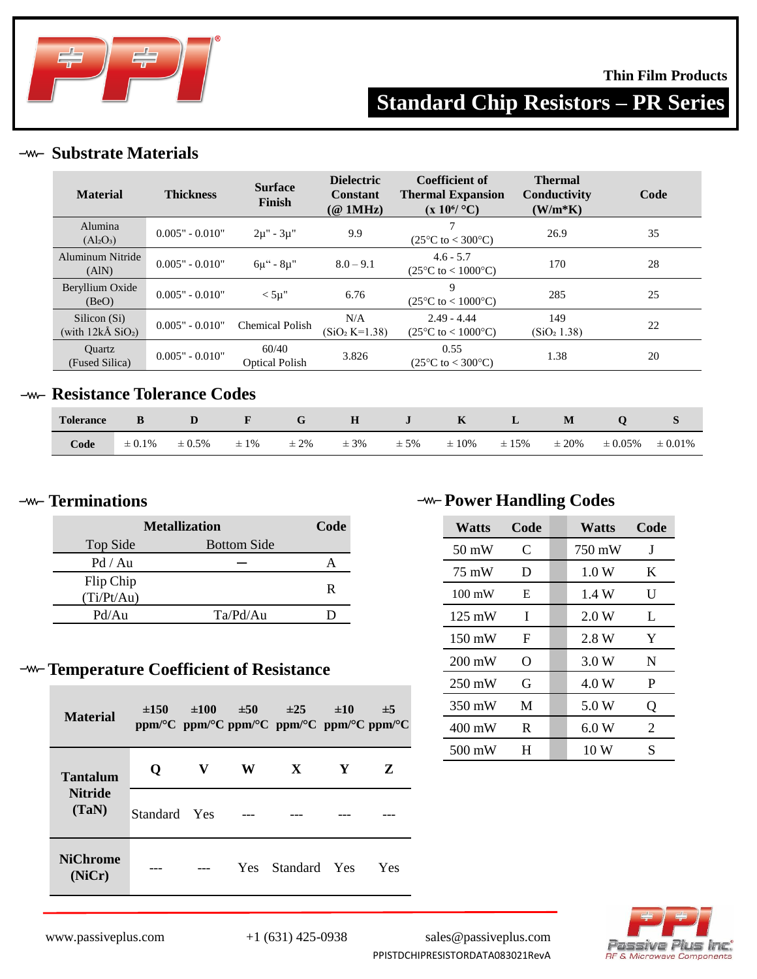

## **Thin Film Products**

# **Standard Chip Resistors – PR Series**

## **Substrate Materials**

| <b>Material</b>                                          | <b>Thickness</b>  | <b>Surface</b><br>Finish       | <b>Dielectric</b><br><b>Constant</b><br>$(@$ 1MHz) | Coefficient of<br><b>Thermal Expansion</b><br>$(x 10^6$ °C)  | <b>Thermal</b><br>Conductivity<br>$(W/m*K)$ | Code |
|----------------------------------------------------------|-------------------|--------------------------------|----------------------------------------------------|--------------------------------------------------------------|---------------------------------------------|------|
| Alumina<br>$(Al_2O_3)$                                   | $0.005" - 0.010"$ | $2\mu$ " - $3\mu$ "            | 9.9                                                | 7<br>$(25^{\circ}C \text{ to } < 300^{\circ}C)$              | 26.9                                        | 35   |
| Aluminum Nitride<br>(AIN)                                | $0.005" - 0.010"$ | $6\mu$ " - $8\mu$ "            | $8.0 - 9.1$                                        | $4.6 - 5.7$<br>$(25^{\circ}C \text{ to } < 1000^{\circ}C)$   | 170                                         | 28   |
| Beryllium Oxide<br>(BeO)                                 | $0.005" - 0.010"$ | $< 5\mu$ "                     | 6.76                                               | 9<br>$(25^{\circ}C \text{ to } 1000^{\circ}C)$               | 285                                         | 25   |
| Silicon (Si)<br>(with $12k\text{\AA}$ SiO <sub>2</sub> ) | $0.005" - 0.010"$ | <b>Chemical Polish</b>         | N/A<br>$(SiO2 K=1.38)$                             | $2.49 - 4.44$<br>$(25^{\circ}C \text{ to } < 1000^{\circ}C)$ | 149<br>(SiO <sub>2</sub> 1.38)              | 22   |
| <b>Ouartz</b><br>(Fused Silica)                          | $0.005" - 0.010"$ | 60/40<br><b>Optical Polish</b> | 3.826                                              | 0.55<br>$(25^{\circ}C \text{ to } < 300^{\circ}C)$           | 1.38                                        | 20   |
| Docietanoo Talaranoo Cadoc                               |                   |                                |                                                    |                                                              |                                             |      |

## **Resistance Tolerance Codes**

| <b>Tolerance</b> |             | D           | <b>Experience</b> | $G$ and $G$ and $G$ and $G$ and $G$ and $G$ and $G$ and $G$ and $G$ and $G$ and $G$ and $G$ and $G$ and $G$ and $G$ and $G$ and $G$ and $G$ and $G$ and $G$ and $G$ and $G$ and $G$ and $G$ and $G$ and $G$ and $G$ and $G$ a |          |         | H J K L    |            | M          |              |              |
|------------------|-------------|-------------|-------------------|-------------------------------------------------------------------------------------------------------------------------------------------------------------------------------------------------------------------------------|----------|---------|------------|------------|------------|--------------|--------------|
| Code             | $\pm 0.1\%$ | $\pm 0.5\%$ | $\pm 1\%$         | $\pm 2\%$                                                                                                                                                                                                                     | $\pm$ 3% | $± 5\%$ | $\pm 10\%$ | $\pm 15\%$ | $\pm 20\%$ | $\pm 0.05\%$ | $\pm 0.01\%$ |

| <b>Metallization</b> | Code               |   |
|----------------------|--------------------|---|
| Top Side             | <b>Bottom Side</b> |   |
| Pd / Au              |                    |   |
| Flip Chip            |                    | R |
| (Ti/Pt/Au)           |                    |   |
| Pd/Au                | Ta/Pd/Au           |   |

# **Temperature Coefficient of Resistance**

| <b>Material</b>           | $\pm 150$    | $\pm 100$ | ±50  | $\pm 25$<br>ppm/°C ppm/°C ppm/°C ppm/°C ppm/°C ppm/°C | ±10 | $\pm$ 5 |
|---------------------------|--------------|-----------|------|-------------------------------------------------------|-----|---------|
| <b>Tantalum</b>           | O            | V         | W    | X                                                     | Y   | Z       |
| <b>Nitride</b><br>(TaN)   | Standard Yes |           |      |                                                       |     |         |
| <b>NiChrome</b><br>(NiCr) |              |           | Yes. | Standard Yes                                          |     | Yes     |

# *A***<sub>** $\rightarrow$ **</sub> <b>Power Handling Codes Power Handling Codes**

| Watts            | Code | Watts  | Code |
|------------------|------|--------|------|
| $50 \text{ mW}$  | C    | 750 mW | J    |
| 75 mW            | Ð    | 1.0 W  | K    |
| $100 \text{ mW}$ | E    | 1.4 W  | U    |
| $125 \text{ mW}$ | I    | 2.0 W  | L    |
| $150 \text{ mW}$ | F    | 2.8 W  | Y    |
| $200 \text{ mW}$ | O    | 3.0 W  | N    |
| $250 \text{ mW}$ | G    | 4.0 W  | P    |
| 350 mW           | M    | 5.0 W  | Q    |
| $400 \text{ mW}$ | R    | 6.0W   | 2    |
| 500 mW           | H    | 10 W   | S    |



www.passiveplus.com +1 (631) 425-0938 sales@passiveplus.com PPISTDCHIPRESISTORDATA083021RevA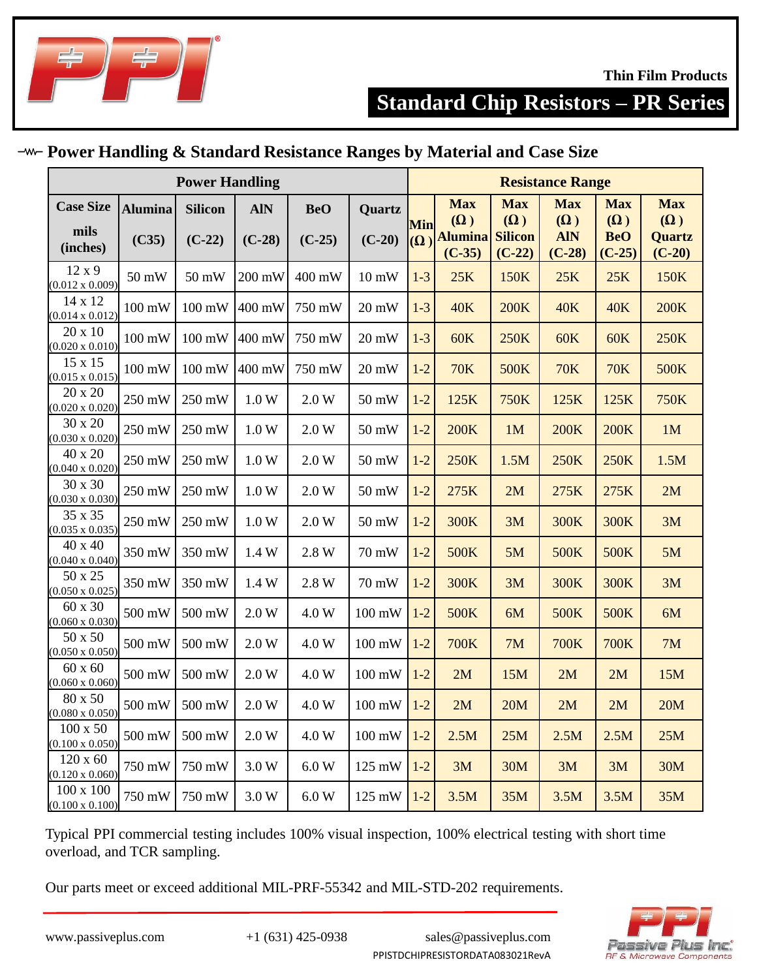

## **Power Handling & Standard Resistance Ranges by Material and Case Size**

|                                            | <b>Power Handling</b>   |                            |                        |                        |                          |                              |                                                        |                                                        | <b>Resistance Range</b>                            |                                                    |                                                       |
|--------------------------------------------|-------------------------|----------------------------|------------------------|------------------------|--------------------------|------------------------------|--------------------------------------------------------|--------------------------------------------------------|----------------------------------------------------|----------------------------------------------------|-------------------------------------------------------|
| <b>Case Size</b><br>mils<br>(inches)       | <b>Alumina</b><br>(C35) | <b>Silicon</b><br>$(C-22)$ | <b>AIN</b><br>$(C-28)$ | <b>BeO</b><br>$(C-25)$ | Quartz<br>$(C-20)$       | Min<br>$(\overline{\Omega})$ | <b>Max</b><br>$(\Omega)$<br><b>Alumina</b><br>$(C-35)$ | <b>Max</b><br>$(\Omega)$<br><b>Silicon</b><br>$(C-22)$ | <b>Max</b><br>$(\Omega)$<br><b>AIN</b><br>$(C-28)$ | <b>Max</b><br>$(\Omega)$<br><b>BeO</b><br>$(C-25)$ | <b>Max</b><br>$(\Omega)$<br><b>Quartz</b><br>$(C-20)$ |
| 12x9<br>$(0.012 \times 0.009)$             | 50 mW                   | 50 mW                      | 200 mW                 | 400 mW                 | $10 \text{ mW}$          | $1-3$                        | 25K                                                    | 150K                                                   | 25K                                                | 25K                                                | 150K                                                  |
| 14 x 12<br>$(0.014 \times 0.012)$          | 100 mW                  | 100 mW                     | 400 mW                 | 750 mW                 | $20 \text{ mW}$          | $1-3$                        | <b>40K</b>                                             | <b>200K</b>                                            | <b>40K</b>                                         | <b>40K</b>                                         | <b>200K</b>                                           |
| 20 x 10<br>$(0.020 \times 0.010)$          | $100 \text{ mW}$        | 100 mW                     | 400 mW                 | 750 mW                 | $20 \text{ mW}$          | $1-3$                        | <b>60K</b>                                             | 250K                                                   | 60K                                                | <b>60K</b>                                         | 250K                                                  |
| 15 x 15<br>$(0.015 \times 0.015)$          | $100 \text{ mW}$        | 100 mW                     | 400 mW                 | 750 mW                 | $20 \text{ mW}$          | $1-2$                        | <b>70K</b>                                             | 500K                                                   | <b>70K</b>                                         | <b>70K</b>                                         | 500K                                                  |
| 20 x 20<br>$(0.020 \times 0.020)$          | 250 mW                  | 250 mW                     | 1.0 W                  | 2.0 W                  | 50 mW                    | $1-2$                        | 125K                                                   | <b>750K</b>                                            | 125K                                               | 125K                                               | 750K                                                  |
| 30 x 20<br>$(0.030 \times 0.020)$          | 250 mW                  | 250 mW                     | 1.0 W                  | 2.0 W                  | 50 mW                    | $1-2$                        | <b>200K</b>                                            | 1M                                                     | <b>200K</b>                                        | <b>200K</b>                                        | 1M                                                    |
| 40 x 20<br>$(0.040 \times 0.020)$          | 250 mW                  | 250 mW                     | 1.0 W                  | 2.0 W                  | 50 mW                    | $1-2$                        | 250K                                                   | 1.5M                                                   | 250K                                               | 250K                                               | 1.5M                                                  |
| 30 x 30<br>$(0.030 \times 0.030)$          | 250 mW                  | 250 mW                     | 1.0 W                  | 2.0 W                  | 50 mW                    | $1-2$                        | 275K                                                   | 2M                                                     | 275K                                               | 275K                                               | 2M                                                    |
| 35 x 35<br>$(0.035 \times 0.035)$          | 250 mW                  | 250 mW                     | 1.0 W                  | $2.0 W$                | 50 mW                    | $1 - 2$                      | 300K                                                   | 3M                                                     | 300K                                               | 300K                                               | 3M                                                    |
| 40 x 40<br>$(0.040 \times 0.040)$          | 350 mW                  | 350 mW                     | 1.4 W                  | 2.8 W                  | 70 mW                    | $1-2$                        | <b>500K</b>                                            | 5M                                                     | <b>500K</b>                                        | 500K                                               | 5M                                                    |
| 50 x 25<br>$(0.050 \times 0.025)$          | 350 mW                  | 350 mW                     | 1.4 W                  | 2.8 W                  | 70 mW                    | $1-2$                        | 300K                                                   | 3M                                                     | 300K                                               | 300K                                               | 3M                                                    |
| 60 x 30<br>$(0.060 \times 0.030)$          | 500 mW                  | 500 mW                     | 2.0 W                  | 4.0 W                  | 100 mW                   | $1-2$                        | 500K                                                   | 6M                                                     | 500K                                               | 500K                                               | 6M                                                    |
| 50 x 50<br>$(0.050 \times 0.050)$          | 500 mW                  | 500 mW                     | 2.0 W                  | 4.0 W                  | 100 mW                   | $1-2$                        | <b>700K</b>                                            | 7M                                                     | <b>700K</b>                                        | <b>700K</b>                                        | 7M                                                    |
| 60 x 60<br>$(0.060 \times 0.060)$          | 500 mW                  | 500 mW                     | 2.0 W                  | 4.0 W                  | 100 mW                   | $1-2$                        | 2M                                                     | 15M                                                    | 2M                                                 | 2M                                                 | 15M                                                   |
| 80 x 50<br>$(0.080 \times 0.050)$          | 500 mW                  | 500 mW                     | 2.0 W                  | 4.0 W                  | 100 mW                   | $1-2$                        | 2M                                                     | 20M                                                    | 2M                                                 | 2M                                                 | 20M                                                   |
| $100 \times 50$<br>$(0.100 \times 0.050)$  | 500 mW                  | 500 mW                     | 2.0 W                  | 4.0 W                  | $100\text{ }\mathrm{mW}$ | $1-2$                        | 2.5M                                                   | 25M                                                    | 2.5M                                               | 2.5M                                               | 25M                                                   |
| $120 \times 60$<br>$(0.120 \times 0.060)$  | 750 mW                  | 750 mW                     | 3.0 W                  | 6.0 W                  | 125 mW                   | $1-2$                        | 3M                                                     | 30M                                                    | 3M                                                 | 3M                                                 | 30M                                                   |
| $100 \times 100$<br>$(0.100 \times 0.100)$ | 750 mW                  | 750 mW                     | 3.0 W                  | 6.0 W                  | 125 mW                   | $1-2$                        | 3.5M                                                   | 35M                                                    | 3.5M                                               | 3.5M                                               | 35M                                                   |

Typical PPI commercial testing includes 100% visual inspection, 100% electrical testing with short time overload, and TCR sampling.

Our parts meet or exceed additional MIL-PRF-55342 and MIL-STD-202 requirements.